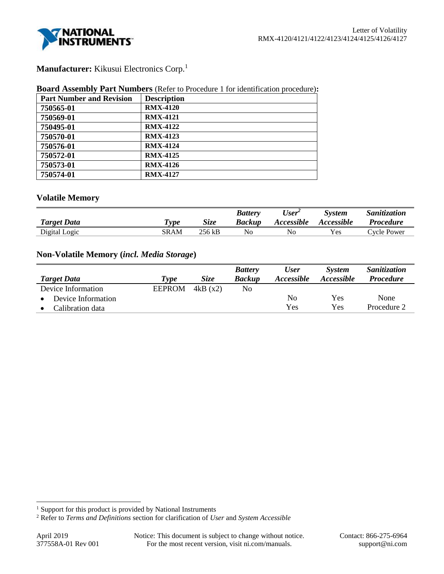

# **Manufacturer:** Kikusui Electronics Corp.<sup>1</sup>

#### **Board Assembly Part Numbers** (Refer to Procedure 1 for identification procedure)**:**

| <b>Part Number and Revision</b> | <b>Description</b> |
|---------------------------------|--------------------|
| 750565-01                       | <b>RMX-4120</b>    |
| 750569-01                       | <b>RMX-4121</b>    |
| 750495-01                       | <b>RMX-4122</b>    |
| 750570-01                       | <b>RMX-4123</b>    |
| 750576-01                       | <b>RMX-4124</b>    |
| 750572-01                       | <b>RMX-4125</b>    |
| 750573-01                       | <b>RMX-4126</b>    |
| 750574-01                       | <b>RMX-4127</b>    |

# **Volatile Memory**

|                    |                       |             | <b>Battery</b> | $\mathbf{v}$<br>$\iota$ ser | System            | <i>Sanitization</i> |
|--------------------|-----------------------|-------------|----------------|-----------------------------|-------------------|---------------------|
| <b>Target Data</b> | $\tau_{\textit{ype}}$ | <b>Size</b> | Backup         | <i>Accessible</i>           | <i>Accessible</i> | <b>Procedure</b>    |
| Digital Logic      | SRAM                  | 256 kB      | No             | No                          | <b>Yes</b>        | Cycle Power         |

# **Non-Volatile Memory (***incl. Media Storage***)**

|                    |               |             | <b>Battery</b> | <b>User</b>       | <b>System</b>     | Sanitization     |
|--------------------|---------------|-------------|----------------|-------------------|-------------------|------------------|
| <b>Target Data</b> | Type          | <i>Size</i> | <b>Backup</b>  | <i>Accessible</i> | <i>Accessible</i> | <b>Procedure</b> |
| Device Information | <b>EEPROM</b> | 4kB(x2)     | No             |                   |                   |                  |
| Device Information |               |             |                | No                | Yes               | None             |
| Calibration data   |               |             |                | Yes               | Yes               | Procedure 2      |

l

<sup>&</sup>lt;sup>1</sup> Support for this product is provided by National Instruments

<sup>2</sup> Refer to *Terms and Definitions* section for clarification of *User* and *System Accessible*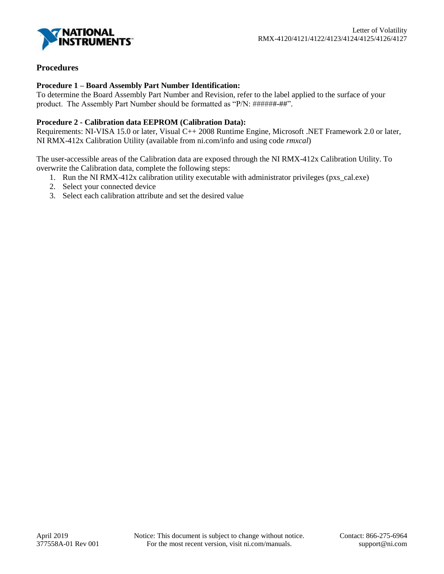

# **Procedures**

## **Procedure 1 – Board Assembly Part Number Identification:**

To determine the Board Assembly Part Number and Revision, refer to the label applied to the surface of your product. The Assembly Part Number should be formatted as "P/N: ##########".

## **Procedure 2 - Calibration data EEPROM (Calibration Data):**

Requirements: NI-VISA 15.0 or later, Visual C++ 2008 Runtime Engine, Microsoft .NET Framework 2.0 or later, NI RMX-412x Calibration Utility (available from ni.com/info and using code *rmxcal*)

The user-accessible areas of the Calibration data are exposed through the NI RMX-412x Calibration Utility. To overwrite the Calibration data, complete the following steps:

- 1. Run the NI RMX-412x calibration utility executable with administrator privileges (pxs\_cal.exe)
- 2. Select your connected device
- 3. Select each calibration attribute and set the desired value